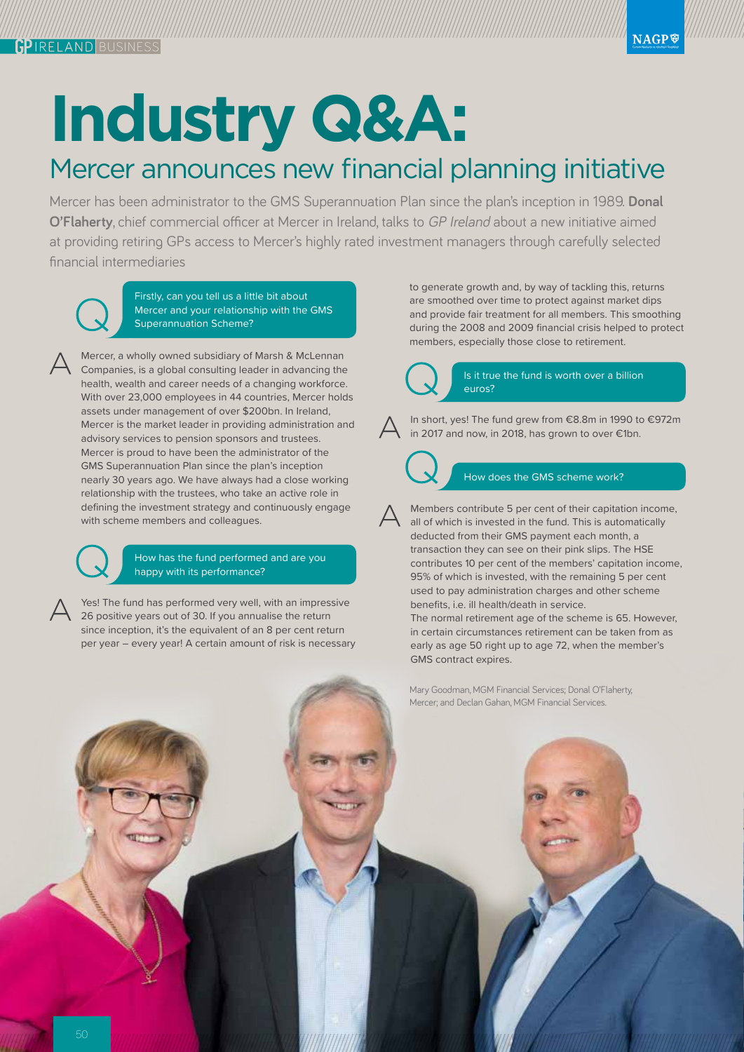## **Industry Q&A:**

## Mercer announces new financial planning initiative

Mercer has been administrator to the GMS Superannuation Plan since the plan's inception in 1989. **Donal O'Flaherty**, chief commercial officer at Mercer in Ireland, talks to GP Ireland about a new initiative aimed at providing retiring GPs access to Mercer's highly rated investment managers through carefully selected financial intermediaries

Firstly, can you tell us a little bit about Mercer and your relationship with the GMS Superannuation Scheme?

Mercer, a wholly owned subsidiary of Marsh & McLennan Companies, is a global consulting leader in advancing the health, wealth and career needs of a changing workforce. With over 23,000 employees in 44 countries, Mercer holds assets under management of over \$200bn. In Ireland, Mercer is the market leader in providing administration and advisory services to pension sponsors and trustees. Mercer is proud to have been the administrator of the GMS Superannuation Plan since the plan's inception nearly 30 years ago. We have always had a close working relationship with the trustees, who take an active role in defining the investment strategy and continuously engage with scheme members and colleagues.

> How has the fund performed and are you happy with its performance?

Yes! The fund has performed very well, with an impressive 26 positive years out of 30. If you annualise the return since inception, it's the equivalent of an 8 per cent return per year – every year! A certain amount of risk is necessary to generate growth and, by way of tackling this, returns are smoothed over time to protect against market dips and provide fair treatment for all members. This smoothing during the 2008 and 2009 financial crisis helped to protect members, especially those close to retirement.



## Is it true the fund is worth over a billion euros?

In short, yes! The fund grew from €8.8m in 1990 to €972m in 2017 and now, in 2018, has grown to over €1bn.



How does the GMS scheme work?

Members contribute 5 per cent of their capitation income, all of which is invested in the fund. This is automatically deducted from their GMS payment each month, a transaction they can see on their pink slips. The HSE contributes 10 per cent of the members' capitation income, 95% of which is invested, with the remaining 5 per cent used to pay administration charges and other scheme benefits, i.e. ill health/death in service.

The normal retirement age of the scheme is 65. However, in certain circumstances retirement can be taken from as early as age 50 right up to age 72, when the member's GMS contract expires.

Mary Goodman, MGM Financial Services; Donal O'Flaherty, Mercer; and Declan Gahan, MGM Financial Services.